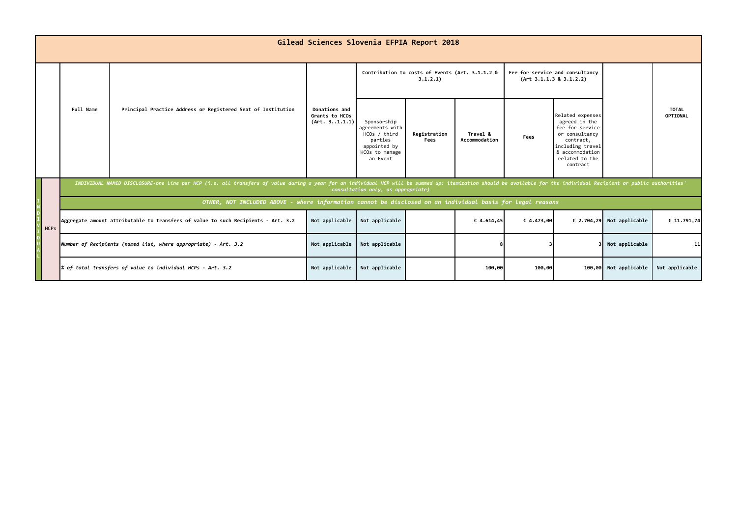|  | Gilead Sciences Slovenia EFPIA Report 2018 |                                                                                                                                                                                                                                                            |                                                                 |                                                             |                                                                                                         |                      |                                                            |            |                                                                                                                                                          |                           |                          |  |
|--|--------------------------------------------|------------------------------------------------------------------------------------------------------------------------------------------------------------------------------------------------------------------------------------------------------------|-----------------------------------------------------------------|-------------------------------------------------------------|---------------------------------------------------------------------------------------------------------|----------------------|------------------------------------------------------------|------------|----------------------------------------------------------------------------------------------------------------------------------------------------------|---------------------------|--------------------------|--|
|  |                                            | Full Name<br>Principal Practice Address or Registered Seat of Institution                                                                                                                                                                                  |                                                                 | Contribution to costs of Events (Art. 3.1.1.2 &<br>3.1.2.1) |                                                                                                         |                      | Fee for service and consultancy<br>(Art 3.1.1.3 8 3.1.2.2) |            |                                                                                                                                                          |                           |                          |  |
|  |                                            |                                                                                                                                                                                                                                                            |                                                                 | Donations and<br>Grants to HCOs<br>(Art. 31.1.1)            | Sponsorship<br>agreements with<br>HCOs / third<br>parties<br>appointed by<br>HCOs to manage<br>an Event | Registration<br>Fees | Travel &<br>Accommodation                                  | Fees       | Related expenses<br>agreed in the<br>fee for service<br>or consultancy<br>contract,<br>including travel<br>& accommodation<br>related to the<br>contract |                           | <b>TOTAL</b><br>OPTIONAL |  |
|  |                                            | INDIVIDUAL NAMED DISCLOSURE-one line per HCP (i.e. all transfers of value during a year for an individual HCP will be summed up: itemization should be available for the individual Recipient or public authorities'<br>consultation only, as appropriate) |                                                                 |                                                             |                                                                                                         |                      |                                                            |            |                                                                                                                                                          |                           |                          |  |
|  |                                            | OTHER, NOT INCLUDED ABOVE - where information cannot be disclosed on an individual basis for legal reasons                                                                                                                                                 |                                                                 |                                                             |                                                                                                         |                      |                                                            |            |                                                                                                                                                          |                           |                          |  |
|  | <b>HCPs</b>                                | Aggregate amount attributable to transfers of value to such Recipients - Art. 3.2                                                                                                                                                                          |                                                                 | Not applicable                                              | Not applicable                                                                                          |                      | € 4.614,45                                                 | € 4.473,00 |                                                                                                                                                          | € 2.704,29 Not applicable | € 11.791,74              |  |
|  |                                            |                                                                                                                                                                                                                                                            | Number of Recipients (named list, where appropriate) - Art. 3.2 | Not applicable                                              | Not applicable                                                                                          |                      |                                                            |            |                                                                                                                                                          | Not applicable            | 11                       |  |
|  |                                            |                                                                                                                                                                                                                                                            | $\%$ of total transfers of value to individual HCPs - Art. 3.2  | Not applicable                                              | Not applicable                                                                                          |                      | 100,00                                                     | 100,00     |                                                                                                                                                          | 100,00 Not applicable     | Not applicable           |  |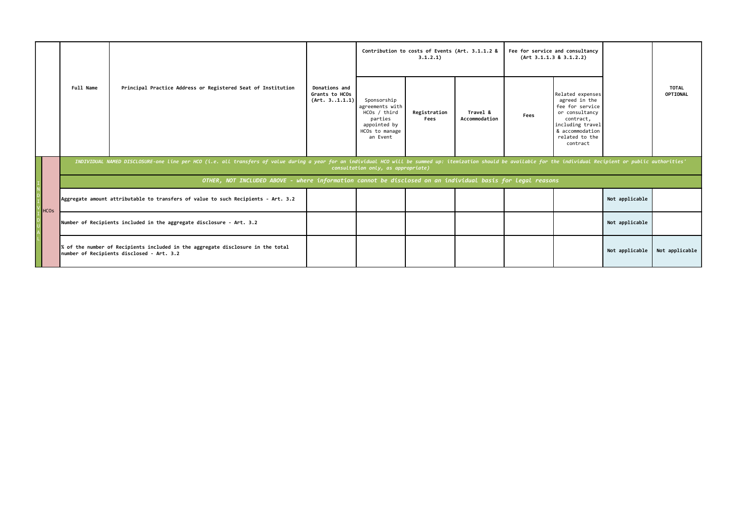|                                                                                                                                                                                                                                                            |                                                            |                                                                                                                              |                                                              | Contribution to costs of Events (Art. 3.1.1.2 &<br>3.1.2.1) |                                                                                                         |                      | Fee for service and consultancy<br>(Art 3.1.1.3 8 3.1.2.2) |      |                                                                                                                                                          |                |                          |
|------------------------------------------------------------------------------------------------------------------------------------------------------------------------------------------------------------------------------------------------------------|------------------------------------------------------------|------------------------------------------------------------------------------------------------------------------------------|--------------------------------------------------------------|-------------------------------------------------------------|---------------------------------------------------------------------------------------------------------|----------------------|------------------------------------------------------------|------|----------------------------------------------------------------------------------------------------------------------------------------------------------|----------------|--------------------------|
|                                                                                                                                                                                                                                                            |                                                            | Full Name                                                                                                                    | Principal Practice Address or Registered Seat of Institution | Donations and<br>Grants to HCOs<br>(Art. 31.1.1)            | Sponsorship<br>agreements with<br>HCOs / third<br>parties<br>appointed by<br>HCOs to manage<br>an Event | Registration<br>Fees | Travel &<br>Accommodation                                  | Fees | Related expenses<br>agreed in the<br>fee for service<br>or consultancy<br>contract,<br>including travel<br>& accommodation<br>related to the<br>contract |                | <b>TOTAL</b><br>OPTIONAL |
| INDIVIDUAL NAMED DISCLOSURE-one line per HCO (i.e. all transfers of value during a year for an individual HCO will be summed up: itemization should be available for the individual Recipient or public authorities'<br>consultation only, as appropriate) |                                                            |                                                                                                                              |                                                              |                                                             |                                                                                                         |                      |                                                            |      |                                                                                                                                                          |                |                          |
|                                                                                                                                                                                                                                                            |                                                            | OTHER, NOT INCLUDED ABOVE - where information cannot be disclosed on an individual basis for legal reasons                   |                                                              |                                                             |                                                                                                         |                      |                                                            |      |                                                                                                                                                          |                |                          |
|                                                                                                                                                                                                                                                            | $\begin{bmatrix} 1 \\ 1 \\ 0 \\ 1 \\ 0 \\ 1 \end{bmatrix}$ | Aggregate amount attributable to transfers of value to such Recipients - Art. 3.2                                            |                                                              |                                                             |                                                                                                         |                      |                                                            |      |                                                                                                                                                          | Not applicable |                          |
| $\begin{array}{c}\n\overline{D} \\ \overline{D} \\ \end{array}$                                                                                                                                                                                            |                                                            | Number of Recipients included in the aggregate disclosure - Art. 3.2                                                         |                                                              |                                                             |                                                                                                         |                      |                                                            |      |                                                                                                                                                          | Not applicable |                          |
|                                                                                                                                                                                                                                                            |                                                            | % of the number of Recipients included in the aggregate disclosure in the total<br>number of Recipients disclosed - Art. 3.2 |                                                              |                                                             |                                                                                                         |                      |                                                            |      |                                                                                                                                                          | Not applicable | Not applicable           |